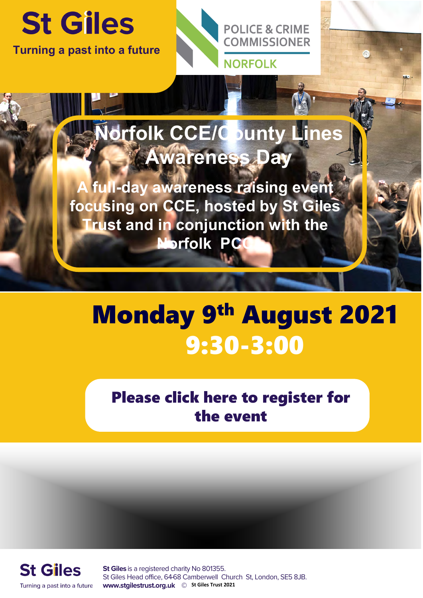

**Turning a past into a future**



## **Norfolk CCE/County Lines Awareness Day**

**A full-day awareness raising event focusing on CCE, hosted by St Giles Trust and in conjunction with the Norfolk PCC** 

## Monday 9<sup>th</sup> August 2021 9:30-3:00

[Please click here to register for](https://www.eventbrite.com/e/norfolk-ccecounty-lines-awareness-day-registration-162520730881)  the event



St Giles is a registered charity No 801355. St Giles Head office, 64-68 Camberwell Church St, London, SE5 8JB. **WWW.Stgilestrust.org.uk © St Giles Trust 2021**